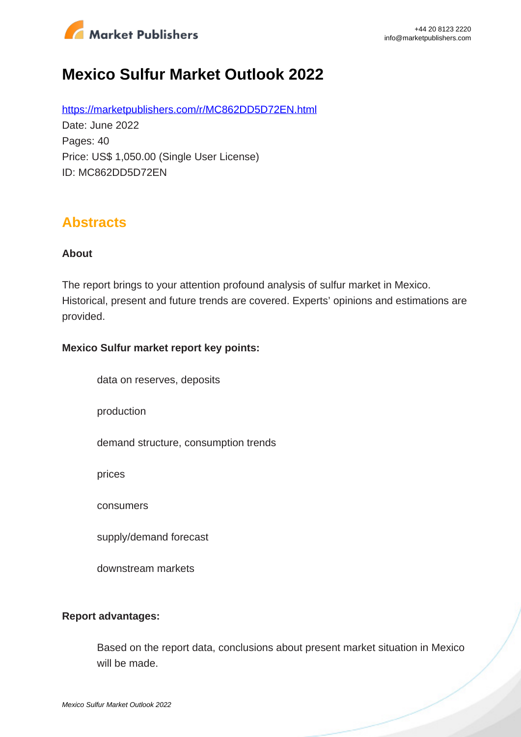

# **Mexico Sulfur Market Outlook 2022**

https://marketpublishers.com/r/MC862DD5D72EN.html Date: June 2022 Pages: 40 Price: US\$ 1,050.00 (Single User License) ID: MC862DD5D72EN

### **Abstracts**

#### **About**

The report brings to your attention profound analysis of sulfur market in Mexico. Historical, present and future trends are covered. Experts' opinions and estimations are provided.

#### **Mexico Sulfur market report key points:**

data on reserves, deposits

production

demand structure, consumption trends

prices

consumers

supply/demand forecast

downstream markets

#### **Report advantages:**

Based on the report data, conclusions about present market situation in Mexico will be made.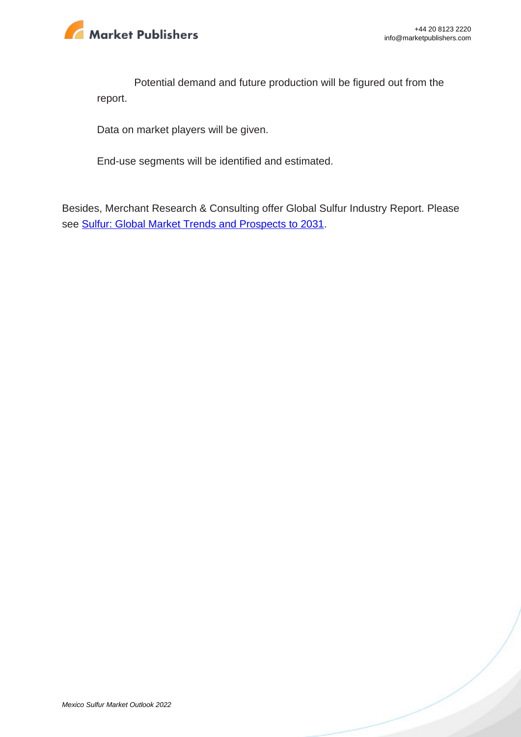

Potential demand and future production will be figured out from the report.

Data on market players will be given.

End-use segments will be identified and estimated.

Besides, Merchant Research & Consulting offer Global Sulfur Industry Report. Please see Sulfur: Global Market Trends and Prospects to 2031.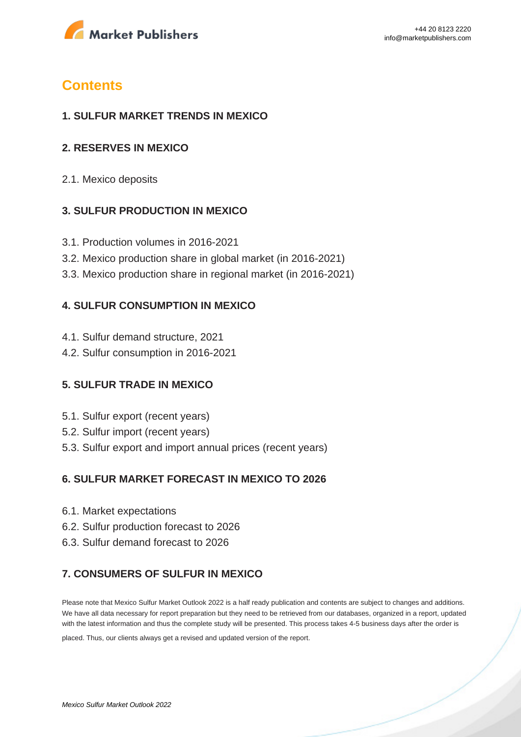

### **Contents**

#### **1. SULFUR MARKET TRENDS IN MEXICO**

#### **2. RESERVES IN MEXICO**

2.1. Mexico deposits

#### **3. SULFUR PRODUCTION IN MEXICO**

- 3.1. Production volumes in 2016-2021
- 3.2. Mexico production share in global market (in 2016-2021)
- 3.3. Mexico production share in regional market (in 2016-2021)

#### **4. SULFUR CONSUMPTION IN MEXICO**

- 4.1. Sulfur demand structure, 2021
- 4.2. Sulfur consumption in 2016-2021

#### **5. SULFUR TRADE IN MEXICO**

- 5.1. Sulfur export (recent years)
- 5.2. Sulfur import (recent years)
- 5.3. Sulfur export and import annual prices (recent years)

#### **6. SULFUR MARKET FORECAST IN MEXICO TO 2026**

- 6.1. Market expectations
- 6.2. Sulfur production forecast to 2026
- 6.3. Sulfur demand forecast to 2026

#### **7. CONSUMERS OF SULFUR IN MEXICO**

Please note that Mexico Sulfur Market Outlook 2022 is a half ready publication and contents are subject to changes and additions. We have all data necessary for report preparation but they need to be retrieved from our databases, organized in a report, updated with the latest information and thus the complete study will be presented. This process takes 4-5 business days after the order is

placed. Thus, our clients always get a revised and updated version of the report.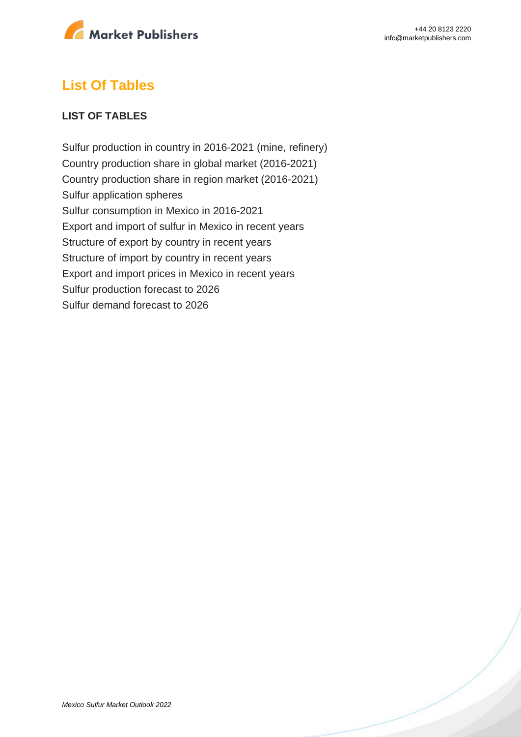

## **List Of Tables**

#### **LIST OF TABLES**

Sulfur production in country in 2016-2021 (mine, refinery) Country production share in global market (2016-2021) Country production share in region market (2016-2021) Sulfur application spheres Sulfur consumption in Mexico in 2016-2021 Export and import of sulfur in Mexico in recent years Structure of export by country in recent years Structure of import by country in recent years Export and import prices in Mexico in recent years Sulfur production forecast to 2026 Sulfur demand forecast to 2026